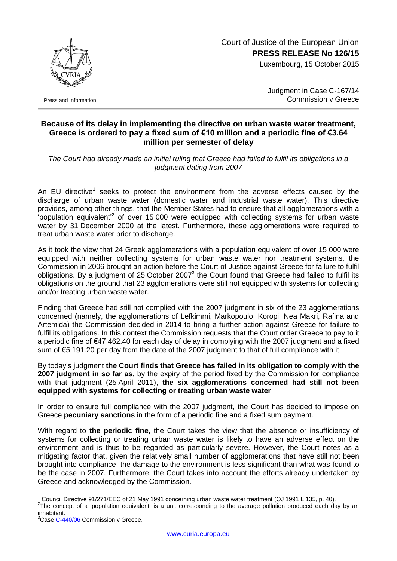Court of Justice of the European Union **PRESS RELEASE No 126/15**

Luxembourg, 15 October 2015



Press and Information

Judgment in Case C-167/14 Commission v Greece

## **Because of its delay in implementing the directive on urban waste water treatment, Greece is ordered to pay a fixed sum of €10 million and a periodic fine of €3.64 million per semester of delay**

*The Court had already made an initial ruling that Greece had failed to fulfil its obligations in a judgment dating from 2007*

An EU directive<sup>1</sup> seeks to protect the environment from the adverse effects caused by the discharge of urban waste water (domestic water and industrial waste water). This directive provides, among other things, that the Member States had to ensure that all agglomerations with a population equivalent<sup>2</sup> of over 15 000 were equipped with collecting systems for urban waste water by 31 December 2000 at the latest. Furthermore, these agglomerations were required to treat urban waste water prior to discharge.

As it took the view that 24 Greek agglomerations with a population equivalent of over 15 000 were equipped with neither collecting systems for urban waste water nor treatment systems, the Commission in 2006 brought an action before the Court of Justice against Greece for failure to fulfil obligations. By a judgment of 25 October 2007 $3$  the Court found that Greece had failed to fulfil its obligations on the ground that 23 agglomerations were still not equipped with systems for collecting and/or treating urban waste water.

Finding that Greece had still not complied with the 2007 judgment in six of the 23 agglomerations concerned (namely, the agglomerations of Lefkimmi, Markopoulo, Koropi, Nea Makri, Rafina and Artemida) the Commission decided in 2014 to bring a further action against Greece for failure to fulfil its obligations. In this context the Commission requests that the Court order Greece to pay to it a periodic fine of €47 462.40 for each day of delay in complying with the 2007 judgment and a fixed sum of  $\epsilon$ 5 191.20 per day from the date of the 2007 judgment to that of full compliance with it.

By today's judgment **the Court finds that Greece has failed in its obligation to comply with the 2007 judgment in so far as**, by the expiry of the period fixed by the Commission for compliance with that judgment (25 April 2011), **the six agglomerations concerned had still not been equipped with systems for collecting or treating urban waste water**.

In order to ensure full compliance with the 2007 judgment, the Court has decided to impose on Greece **pecuniary sanctions** in the form of a periodic fine and a fixed sum payment.

With regard to **the periodic fine,** the Court takes the view that the absence or insufficiency of systems for collecting or treating urban waste water is likely to have an adverse effect on the environment and is thus to be regarded as particularly severe. However, the Court notes as a mitigating factor that, given the relatively small number of agglomerations that have still not been brought into compliance, the damage to the environment is less significant than what was found to be the case in 2007. Furthermore, the Court takes into account the efforts already undertaken by Greece and acknowledged by the Commission.

1

Council Directive 91/271/EEC of 21 May 1991 concerning urban waste water treatment (OJ 1991 L 135, p. 40).

 $2$ The concept of a 'population equivalent' is a unit corresponding to the average pollution produced each day by an inhabitant.

<sup>&</sup>lt;sup>3</sup>Cas[e C-440/06](http://curia.europa.eu/juris/documents.jsf?num=C-440/06) Commission v Greece.